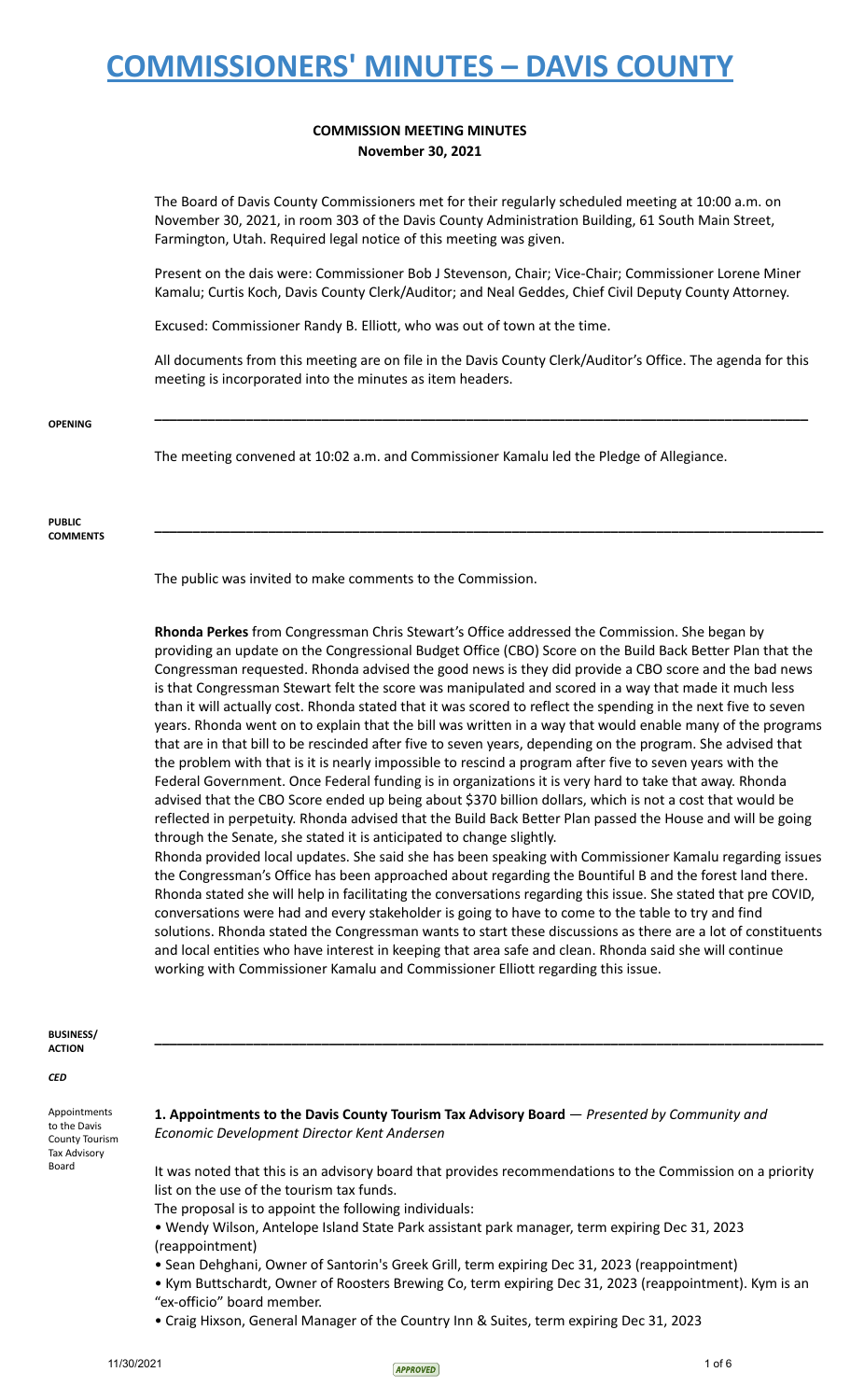## **COMMISSION MEETING MINUTES November 30, 2021**

The Board of Davis County Commissioners met for their regularly scheduled meeting at 10:00 a.m. on November 30, 2021, in room 303 of the Davis County Administration Building, 61 South Main Street, Farmington, Utah. Required legal notice of this meeting was given.

Present on the dais were: Commissioner Bob J Stevenson, Chair; Vice-Chair; Commissioner Lorene Miner Kamalu; Curtis Koch, Davis County Clerk/Auditor; and Neal Geddes, Chief Civil Deputy County Attorney.

Excused: Commissioner Randy B. Elliott, who was out of town at the time.

All documents from this meeting are on file in the Davis County Clerk/Auditor's Office. The agenda for this meeting is incorporated into the minutes as item headers.

**\_\_\_\_\_\_\_\_\_\_\_\_\_\_\_\_\_\_\_\_\_\_\_\_\_\_\_\_\_\_\_\_\_\_\_\_\_\_\_\_\_\_\_\_\_\_\_\_\_\_\_\_\_\_\_\_\_\_\_\_\_\_\_\_\_\_\_\_\_\_\_\_\_\_\_\_\_\_\_\_\_\_\_\_\_\_**

**\_\_\_\_\_\_\_\_\_\_\_\_\_\_\_\_\_\_\_\_\_\_\_\_\_\_\_\_\_\_\_\_\_\_\_\_\_\_\_\_\_\_\_\_\_\_\_\_\_\_\_\_\_\_\_\_\_\_\_\_\_\_\_\_\_\_\_\_\_\_\_\_\_\_\_\_\_\_\_\_\_\_\_\_\_\_\_\_**

**OPENING**

The meeting convened at 10:02 a.m. and Commissioner Kamalu led the Pledge of Allegiance.

#### **PUBLIC COMMENTS**

The public was invited to make comments to the Commission.

**Rhonda Perkes** from Congressman Chris Stewart's Office addressed the Commission. She began by providing an update on the Congressional Budget Office (CBO) Score on the Build Back Better Plan that the Congressman requested. Rhonda advised the good news is they did provide a CBO score and the bad news is that Congressman Stewart felt the score was manipulated and scored in a way that made it much less than it will actually cost. Rhonda stated that it was scored to reflect the spending in the next five to seven years. Rhonda went on to explain that the bill was written in a way that would enable many of the programs that are in that bill to be rescinded after five to seven years, depending on the program. She advised that the problem with that is it is nearly impossible to rescind a program after five to seven years with the Federal Government. Once Federal funding is in organizations it is very hard to take that away. Rhonda advised that the CBO Score ended up being about \$370 billion dollars, which is not a cost that would be reflected in perpetuity. Rhonda advised that the Build Back Better Plan passed the House and will be going through the Senate, she stated it is anticipated to change slightly.

Rhonda provided local updates. She said she has been speaking with Commissioner Kamalu regarding issues the Congressman's Office has been approached about regarding the Bountiful B and the forest land there. Rhonda stated she will help in facilitating the conversations regarding this issue. She stated that pre COVID, conversations were had and every stakeholder is going to have to come to the table to try and find solutions. Rhonda stated the Congressman wants to start these discussions as there are a lot of constituents and local entities who have interest in keeping that area safe and clean. Rhonda said she will continue working with Commissioner Kamalu and Commissioner Elliott regarding this issue.

**\_\_\_\_\_\_\_\_\_\_\_\_\_\_\_\_\_\_\_\_\_\_\_\_\_\_\_\_\_\_\_\_\_\_\_\_\_\_\_\_\_\_\_\_\_\_\_\_\_\_\_\_\_\_\_\_\_\_\_\_\_\_\_\_\_\_\_\_\_\_\_\_\_\_\_\_\_\_\_\_\_\_\_\_\_\_\_\_**

#### **BUSINESS/ ACTION**

*CED*

Appointments to the Davis County Tourism Tax Advisory Board

**1. Appointments to the Davis County Tourism Tax Advisory Board** — *Presented by Community and Economic Development Director Kent Andersen*

It was noted that this is an advisory board that provides recommendations to the Commission on a priority list on the use of the tourism tax funds.

The proposal is to appoint the following individuals:

• Wendy Wilson, Antelope Island State Park assistant park manager, term expiring Dec 31, 2023 (reappointment)

• Sean Dehghani, Owner of Santorin's Greek Grill, term expiring Dec 31, 2023 (reappointment)

• Kym Buttschardt, Owner of Roosters Brewing Co, term expiring Dec 31, 2023 (reappointment). Kym is an "ex-officio" board member.

• Craig Hixson, General Manager of the Country Inn & Suites, term expiring Dec 31, 2023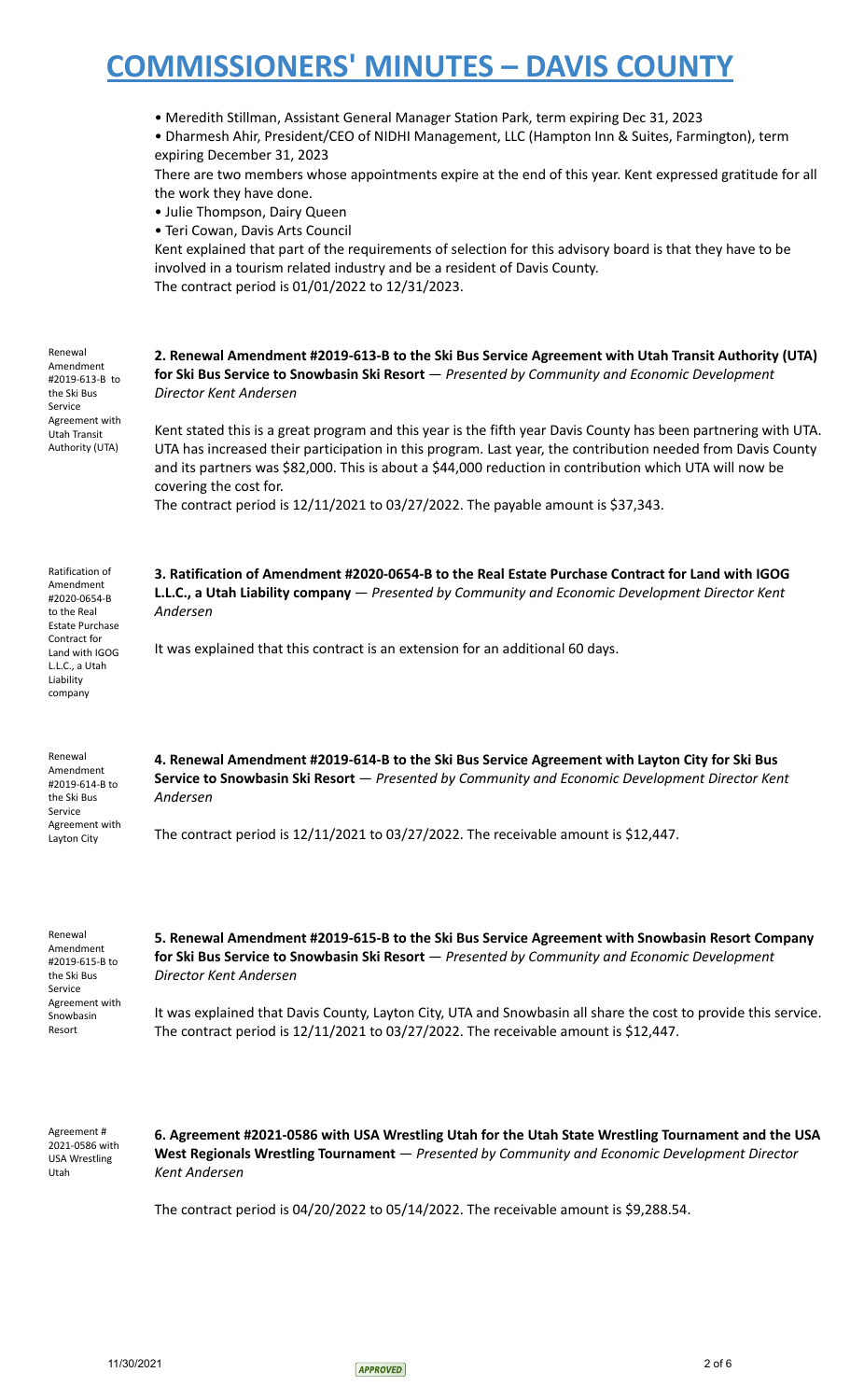|                                                                                                                                                        | • Meredith Stillman, Assistant General Manager Station Park, term expiring Dec 31, 2023<br>• Dharmesh Ahir, President/CEO of NIDHI Management, LLC (Hampton Inn & Suites, Farmington), term<br>expiring December 31, 2023<br>There are two members whose appointments expire at the end of this year. Kent expressed gratitude for all<br>the work they have done.<br>• Julie Thompson, Dairy Queen<br>• Teri Cowan, Davis Arts Council<br>Kent explained that part of the requirements of selection for this advisory board is that they have to be<br>involved in a tourism related industry and be a resident of Davis County.<br>The contract period is 01/01/2022 to 12/31/2023. |
|--------------------------------------------------------------------------------------------------------------------------------------------------------|---------------------------------------------------------------------------------------------------------------------------------------------------------------------------------------------------------------------------------------------------------------------------------------------------------------------------------------------------------------------------------------------------------------------------------------------------------------------------------------------------------------------------------------------------------------------------------------------------------------------------------------------------------------------------------------|
| Renewal<br>Amendment<br>#2019-613-B to<br>the Ski Bus<br>Service                                                                                       | 2. Renewal Amendment #2019-613-B to the Ski Bus Service Agreement with Utah Transit Authority (UTA)<br>for Ski Bus Service to Snowbasin Ski Resort - Presented by Community and Economic Development<br>Director Kent Andersen                                                                                                                                                                                                                                                                                                                                                                                                                                                        |
| Agreement with<br>Utah Transit<br>Authority (UTA)                                                                                                      | Kent stated this is a great program and this year is the fifth year Davis County has been partnering with UTA.<br>UTA has increased their participation in this program. Last year, the contribution needed from Davis County<br>and its partners was \$82,000. This is about a \$44,000 reduction in contribution which UTA will now be<br>covering the cost for.                                                                                                                                                                                                                                                                                                                    |
|                                                                                                                                                        | The contract period is 12/11/2021 to 03/27/2022. The payable amount is \$37,343.                                                                                                                                                                                                                                                                                                                                                                                                                                                                                                                                                                                                      |
| Ratification of<br>Amendment<br>#2020-0654-B<br>to the Real<br><b>Estate Purchase</b><br>Contract for<br>Land with IGOG<br>L.L.C., a Utah<br>Liability | 3. Ratification of Amendment #2020-0654-B to the Real Estate Purchase Contract for Land with IGOG<br>L.L.C., a Utah Liability company - Presented by Community and Economic Development Director Kent<br>Andersen<br>It was explained that this contract is an extension for an additional 60 days.                                                                                                                                                                                                                                                                                                                                                                                   |
| company<br>Renewal                                                                                                                                     | 4. Renewal Amendment #2019-614-B to the Ski Bus Service Agreement with Layton City for Ski Bus                                                                                                                                                                                                                                                                                                                                                                                                                                                                                                                                                                                        |
| Amendment<br>#2019-614-B to<br>the Ski Bus<br>Service                                                                                                  | Service to Snowbasin Ski Resort - Presented by Community and Economic Development Director Kent<br>Andersen                                                                                                                                                                                                                                                                                                                                                                                                                                                                                                                                                                           |
| Agreement with<br>Layton City                                                                                                                          | The contract period is $12/11/2021$ to $03/27/2022$ . The receivable amount is \$12,447.                                                                                                                                                                                                                                                                                                                                                                                                                                                                                                                                                                                              |
| Renewal<br>Amendment<br>#2019-615-B to<br>the Ski Bus<br>Service                                                                                       | 5. Renewal Amendment #2019-615-B to the Ski Bus Service Agreement with Snowbasin Resort Company<br>for Ski Bus Service to Snowbasin Ski Resort - Presented by Community and Economic Development<br>Director Kent Andersen                                                                                                                                                                                                                                                                                                                                                                                                                                                            |
| Agreement with<br>Snowbasin<br>Resort                                                                                                                  | It was explained that Davis County, Layton City, UTA and Snowbasin all share the cost to provide this service.<br>The contract period is 12/11/2021 to 03/27/2022. The receivable amount is \$12,447.                                                                                                                                                                                                                                                                                                                                                                                                                                                                                 |
| Agreement#<br>2021-0586 with                                                                                                                           | 6. Agreement #2021-0586 with USA Wrestling Utah for the Utah State Wrestling Tournament and the USA<br>West Peginnals Wrestling Tournament — Presented by Community and Economic Development Director                                                                                                                                                                                                                                                                                                                                                                                                                                                                                 |

USA Wrestling Utah

**West Regionals Wrestling Tournament** — *Presented by Community and Economic Development Director Kent Andersen*

The contract period is 04/20/2022 to 05/14/2022. The receivable amount is \$9,288.54.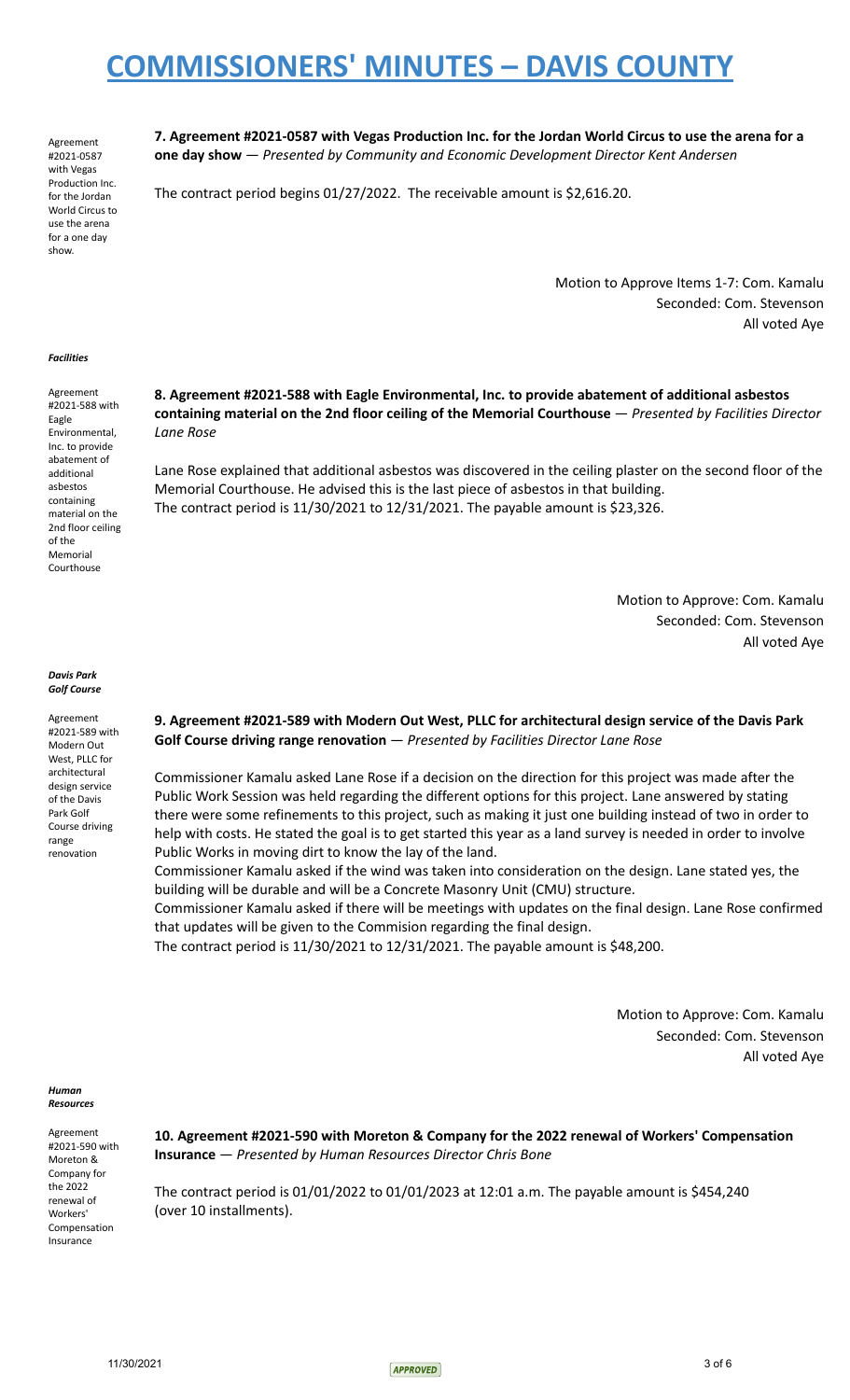Agreement #2021-0587 with Vegas Production Inc. for the Jordan World Circus to use the arena for a one day show.

7. Agreement #2021-0587 with Vegas Production Inc. for the Jordan World Circus to use the arena for a **one day show** — *Presented by Community and Economic Development Director Kent Andersen*

The contract period begins 01/27/2022. The receivable amount is \$2,616.20.

Motion to Approve Items 1-7: Com. Kamalu Seconded: Com. Stevenson All voted Aye

#### *Facilities*

Agreement #2021-588 with Eagle Environmental, Inc. to provide abatement of additional asbestos containing material on the 2nd floor ceiling of the Memorial Courthouse

*Davis Park Golf Course*

Agreement #2021-589 with Modern Out West, PLLC for architectural design service of the Davis Park Golf Course driving range renovation

### **8. Agreement #2021-588 with Eagle Environmental, Inc. to provide abatement of additional asbestos containing material on the 2nd floor ceiling of the Memorial Courthouse** — *Presented by Facilities Director Lane Rose*

Lane Rose explained that additional asbestos was discovered in the ceiling plaster on the second floor of the Memorial Courthouse. He advised this is the last piece of asbestos in that building. The contract period is 11/30/2021 to 12/31/2021. The payable amount is \$23,326.

> Motion to Approve: Com. Kamalu Seconded: Com. Stevenson All voted Aye

### **9. Agreement #2021-589 with Modern Out West, PLLC for architectural design service of the Davis Park Golf Course driving range renovation** — *Presented by Facilities Director Lane Rose*

Commissioner Kamalu asked Lane Rose if a decision on the direction for this project was made after the Public Work Session was held regarding the different options for this project. Lane answered by stating there were some refinements to this project, such as making it just one building instead of two in order to help with costs. He stated the goal is to get started this year as a land survey is needed in order to involve Public Works in moving dirt to know the lay of the land.

Commissioner Kamalu asked if the wind was taken into consideration on the design. Lane stated yes, the building will be durable and will be a Concrete Masonry Unit (CMU) structure.

Commissioner Kamalu asked if there will be meetings with updates on the final design. Lane Rose confirmed that updates will be given to the Commision regarding the final design.

The contract period is 11/30/2021 to 12/31/2021. The payable amount is \$48,200.

Motion to Approve: Com. Kamalu Seconded: Com. Stevenson All voted Aye

*Human Resources*

Agreement #2021-590 with Moreton & Company for the 2022 renewal of Workers' Compensation Insurance

**10. Agreement #2021-590 with Moreton & Company for the 2022 renewal of Workers' Compensation Insurance** — *Presented by Human Resources Director Chris Bone*

The contract period is 01/01/2022 to 01/01/2023 at 12:01 a.m. The payable amount is \$454,240 (over 10 installments).

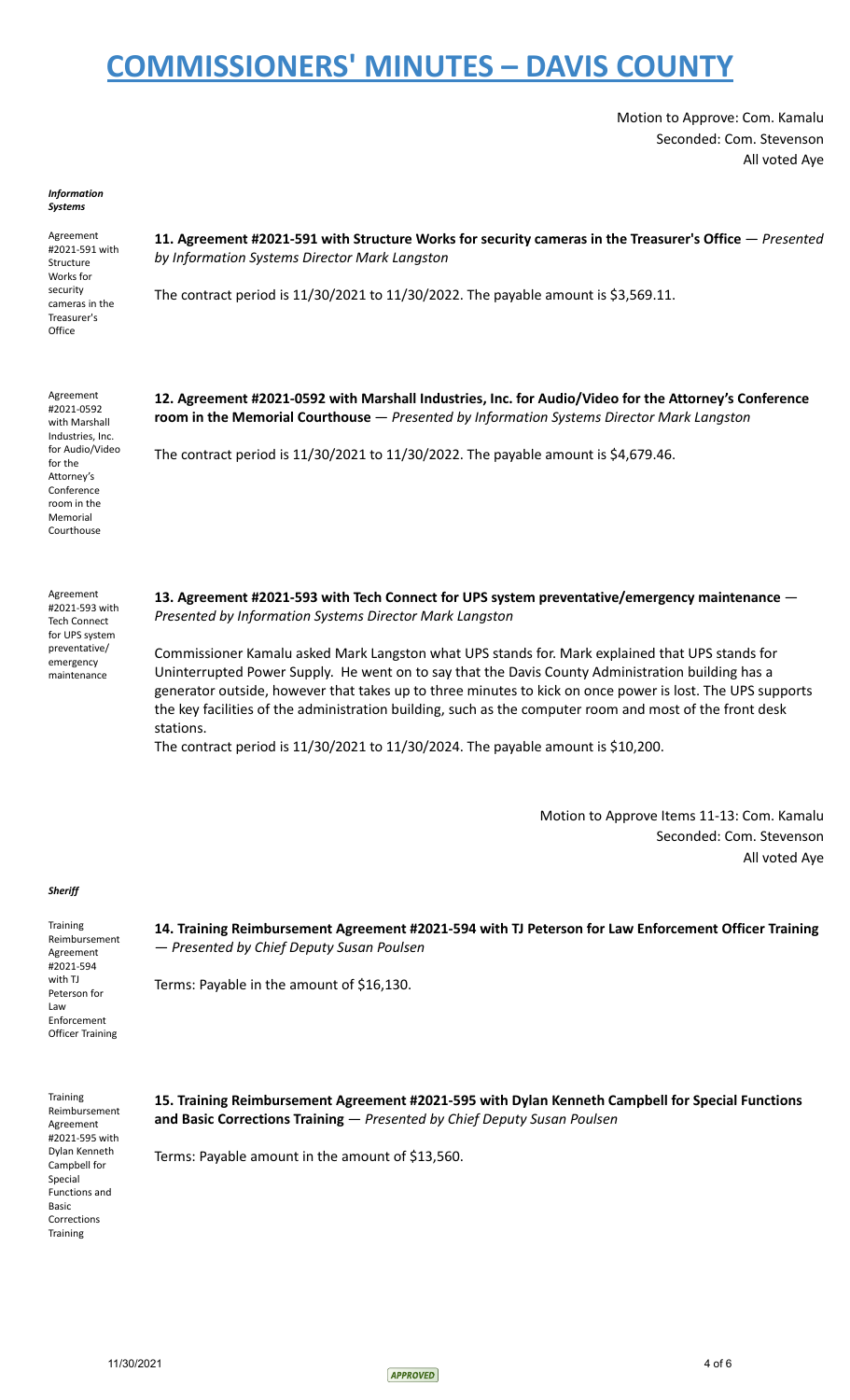Motion to Approve: Com. Kamalu Seconded: Com. Stevenson All voted Aye

#### *Information Systems*

Agreement #2021-591 with Structure Works for security cameras in the Treasurer's **Office** 

**11. Agreement #2021-591 with Structure Works for security cameras in the Treasurer's Office** — *Presented by Information Systems Director Mark Langston*

The contract period is 11/30/2021 to 11/30/2022. The payable amount is \$3,569.11.

Agreement #2021-0592 with Marshall Industries, Inc. for Audio/Video for the Attorney's Conference room in the Memorial Courthouse

Agreement #2021-593 with Tech Connect for UPS system preventative/ emergency maintenance

**12. Agreement #2021-0592 with Marshall Industries, Inc. for Audio/Video for the Attorney's Conference room in the Memorial Courthouse** — *Presented by Information Systems Director Mark Langston*

The contract period is 11/30/2021 to 11/30/2022. The payable amount is \$4,679.46.

**13. Agreement #2021-593 with Tech Connect for UPS system preventative/emergency maintenance** — *Presented by Information Systems Director Mark Langston*

Commissioner Kamalu asked Mark Langston what UPS stands for. Mark explained that UPS stands for Uninterrupted Power Supply. He went on to say that the Davis County Administration building has a generator outside, however that takes up to three minutes to kick on once power is lost. The UPS supports the key facilities of the administration building, such as the computer room and most of the front desk stations.

The contract period is 11/30/2021 to 11/30/2024. The payable amount is \$10,200.

Motion to Approve Items 11-13: Com. Kamalu Seconded: Com. Stevenson All voted Aye

### *Sheriff*

**Training** Reimbursement Agreement #2021-594 with TJ Peterson for Law Enforcement Officer Training

**14. Training Reimbursement Agreement #2021-594 with TJ Peterson for Law Enforcement Officer Training** — *Presented by Chief Deputy Susan Poulsen*

Terms: Payable in the amount of \$16,130.

**Training** Reimbursement Agreement #2021-595 with Dylan Kenneth Campbell for Special Functions and Basic Corrections **Training** 

**15. Training Reimbursement Agreement #2021-595 with Dylan Kenneth Campbell for Special Functions and Basic Corrections Training** — *Presented by Chief Deputy Susan Poulsen*

Terms: Payable amount in the amount of \$13,560.

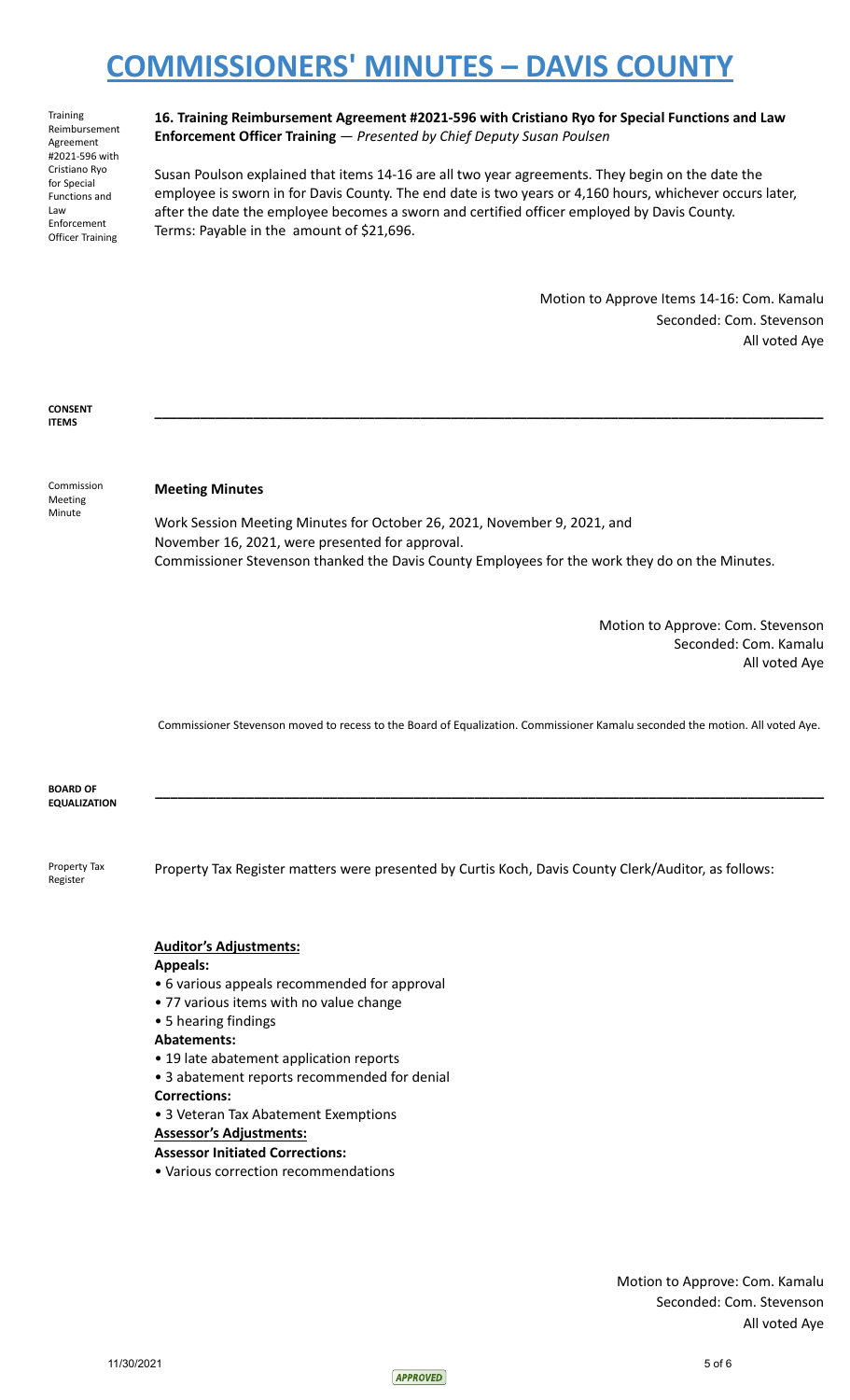Training Reimbursement Agreement #2021-596 with Cristiano Ryo for Special Functions and Law Enforcement Officer Training **16. Training Reimbursement Agreement #2021-596 with Cristiano Ryo for Special Functions and Law Enforcement Officer Training** — *Presented by Chief Deputy Susan Poulsen*

Susan Poulson explained that items 14-16 are all two year agreements. They begin on the date the employee is sworn in for Davis County. The end date is two years or 4,160 hours, whichever occurs later, after the date the employee becomes a sworn and certified officer employed by Davis County. Terms: Payable in the amount of \$21,696.

> Motion to Approve Items 14-16: Com. Kamalu Seconded: Com. Stevenson All voted Aye

**CONSENT ITEMS**

Commission Meeting Minute

### **Meeting Minutes**

Work Session Meeting Minutes for October 26, 2021, November 9, 2021, and November 16, 2021, were presented for approval. Commissioner Stevenson thanked the Davis County Employees for the work they do on the Minutes.

**\_\_\_\_\_\_\_\_\_\_\_\_\_\_\_\_\_\_\_\_\_\_\_\_\_\_\_\_\_\_\_\_\_\_\_\_\_\_\_\_\_\_\_\_\_\_\_\_\_\_\_\_\_\_\_\_\_\_\_\_\_\_\_\_\_\_\_\_\_\_\_\_\_\_\_\_\_\_\_\_\_\_\_\_\_\_\_\_**

Motion to Approve: Com. Stevenson Seconded: Com. Kamalu All voted Aye

Commissioner Stevenson moved to recess to the Board of Equalization. Commissioner Kamalu seconded the motion. All voted Aye.

**\_\_\_\_\_\_\_\_\_\_\_\_\_\_\_\_\_\_\_\_\_\_\_\_\_\_\_\_\_\_\_\_\_\_\_\_\_\_\_\_\_\_\_\_\_\_\_\_\_\_\_\_\_\_\_\_\_\_\_\_\_\_\_\_\_\_\_\_\_\_\_\_\_\_\_\_\_\_\_\_\_\_\_\_\_\_\_\_**

**BOARD OF EQUALIZATION**

Property Tax Register

Property Tax Register matters were presented by Curtis Koch, Davis County Clerk/Auditor, as follows:

### **Auditor's Adjustments:**

### **Appeals:**

- 6 various appeals recommended for approval
- 77 various items with no value change
- 5 hearing findings
- **Abatements:**
- 19 late abatement application reports
- 3 abatement reports recommended for denial
- **Corrections:**
- 3 Veteran Tax Abatement Exemptions

## **Assessor's Adjustments:**

## **Assessor Initiated Corrections:**

• Various correction recommendations

Motion to Approve: Com. Kamalu Seconded: Com. Stevenson All voted Aye